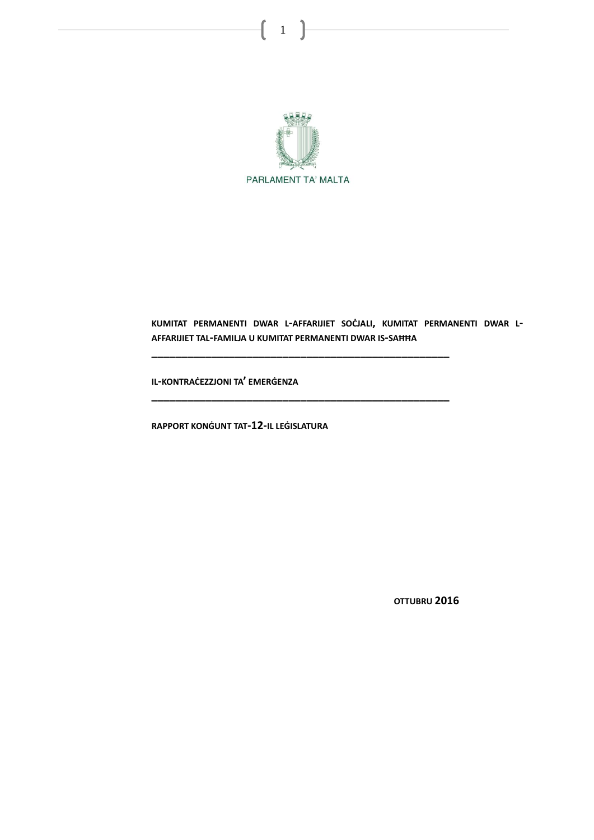

## **KUMITAT PERMANENTI DWAR L-AFFARIJIET SOĊJALI, KUMITAT PERMANENTI DWAR L-AFFARIJIET TAL-FAMILJA U KUMITAT PERMANENTI DWAR IS-SAĦĦA**

**\_\_\_\_\_\_\_\_\_\_\_\_\_\_\_\_\_\_\_\_\_\_\_\_\_\_\_\_\_\_\_\_\_\_\_\_\_\_\_\_\_\_\_\_\_\_\_\_\_\_**

**\_\_\_\_\_\_\_\_\_\_\_\_\_\_\_\_\_\_\_\_\_\_\_\_\_\_\_\_\_\_\_\_\_\_\_\_\_\_\_\_\_\_\_\_\_\_\_\_\_\_**

**IL-KONTRAĊEZZJONI TA' EMERĠENZA**

**RAPPORT KONĠUNT TAT-12-IL LEĠISLATURA**

**OTTUBRU 2016**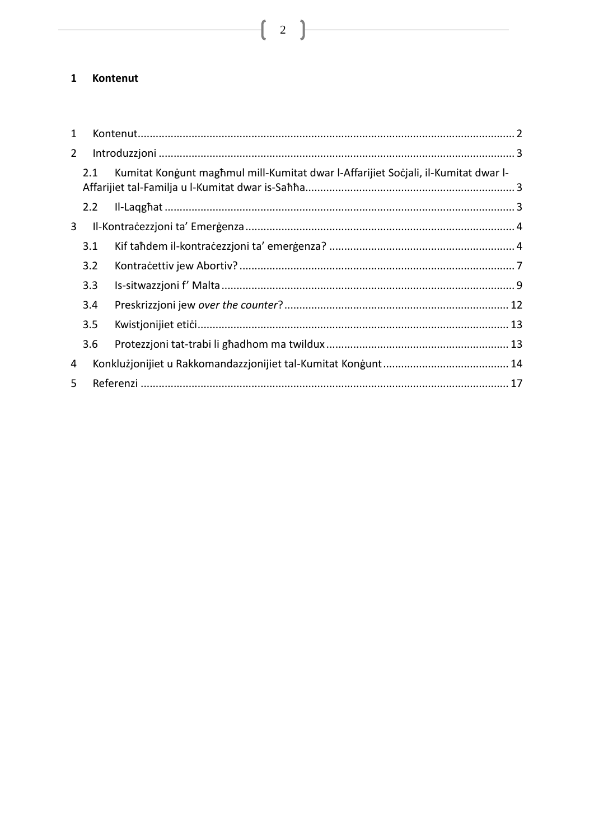## <span id="page-1-0"></span>1 Kontenut

| 1              |     |                                                                                    |  |
|----------------|-----|------------------------------------------------------------------------------------|--|
| $\overline{2}$ |     |                                                                                    |  |
|                | 2.1 | Kumitat Kongunt maghmul mill-Kumitat dwar l-Affarijiet Socjali, il-Kumitat dwar l- |  |
|                | 2.2 |                                                                                    |  |
| 3              |     |                                                                                    |  |
|                | 3.1 |                                                                                    |  |
|                | 3.2 |                                                                                    |  |
|                | 3.3 |                                                                                    |  |
|                | 3.4 |                                                                                    |  |
|                | 3.5 |                                                                                    |  |
|                | 3.6 |                                                                                    |  |
| 4              |     |                                                                                    |  |
| 5              |     |                                                                                    |  |

 $\begin{array}{|c|c|c|c|}\hline \rule{0pt}{1ex}\rule{0pt}{1ex}\hspace{-2.2ex}\rule{0pt}{1ex}\hspace{-2.2ex}\rule{0pt}{1ex}\hspace{-2.2ex}\hspace{-2.2ex}\rule{0pt}{1ex}\hspace{-2.2ex}\hspace{-2.2ex}\rule{0pt}{1ex}\hspace{-2.2ex}\hspace{-2.2ex}\hspace{-2.2ex}\hspace{-2.2ex}\hspace{-2.2ex}\hspace{-2.2ex}\hspace{-2.2ex}\hspace{-2.2ex}\hspace{-2.2ex}\hspace{-2.2ex}\hspace{-2.2ex}\hspace{-2.2ex}\hspace{-2.2ex}\hspace$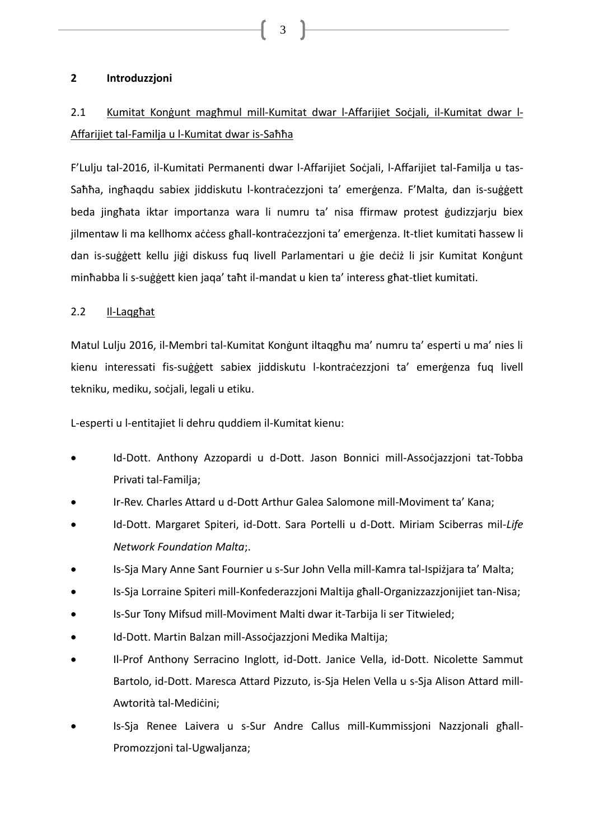## <span id="page-2-0"></span>**2 Introduzzjoni**

# <span id="page-2-1"></span>2.1 Kumitat Konġunt magħmul mill-Kumitat dwar l-Affarijiet Soċjali, il-Kumitat dwar l-Affarijiet tal-Familja u l-Kumitat dwar is-Saħħa

F'Lulju tal-2016, il-Kumitati Permanenti dwar l-Affarijiet Soċjali, l-Affarijiet tal-Familja u tas-Saħħa, ingħaqdu sabiex jiddiskutu l-kontraċezzjoni ta' emerġenza. F'Malta, dan is-suġġett beda jingħata iktar importanza wara li numru ta' nisa ffirmaw protest ġudizzjarju biex jilmentaw li ma kellhomx aċċess għall-kontraċezzjoni ta' emerġenza. It-tliet kumitati ħassew li dan is-suġġett kellu jiġi diskuss fuq livell Parlamentari u ġie deċiż li jsir Kumitat Konġunt minħabba li s-suġġett kien jaqa' taħt il-mandat u kien ta' interess għat-tliet kumitati.

## <span id="page-2-2"></span>2.2 Il-Laqgħat

Matul Lulju 2016, il-Membri tal-Kumitat Konġunt iltaqgħu ma' numru ta' esperti u ma' nies li kienu interessati fis-suġġett sabiex jiddiskutu l-kontraċezzjoni ta' emerġenza fuq livell tekniku, mediku, soċjali, legali u etiku.

L-esperti u l-entitajiet li dehru quddiem il-Kumitat kienu:

- Id-Dott. Anthony Azzopardi u d-Dott. Jason Bonnici mill-Assocjazzjoni tat-Tobba Privati tal-Familja;
- Ir-Rev. Charles Attard u d-Dott Arthur Galea Salomone mill-Moviment ta' Kana;
- Id-Dott. Margaret Spiteri, id-Dott. Sara Portelli u d-Dott. Miriam Sciberras mil-*Life Network Foundation Malta*;.
- Is-Sja Mary Anne Sant Fournier u s-Sur John Vella mill-Kamra tal-Ispiżjara ta' Malta;
- Is-Sja Lorraine Spiteri mill-Konfederazzjoni Maltija għall-Organizzazzjonijiet tan-Nisa;
- Is-Sur Tony Mifsud mill-Moviment Malti dwar it-Tarbija li ser Titwieled;
- Id-Dott. Martin Balzan mill-Assoċjazzjoni Medika Maltija;
- Il-Prof Anthony Serracino Inglott, id-Dott. Janice Vella, id-Dott. Nicolette Sammut Bartolo, id-Dott. Maresca Attard Pizzuto, is-Sja Helen Vella u s-Sja Alison Attard mill-Awtorità tal-Medicini:
- Is-Sja Renee Laivera u s-Sur Andre Callus mill-Kummissjoni Nazzjonali għall-Promozzjoni tal-Ugwaljanza;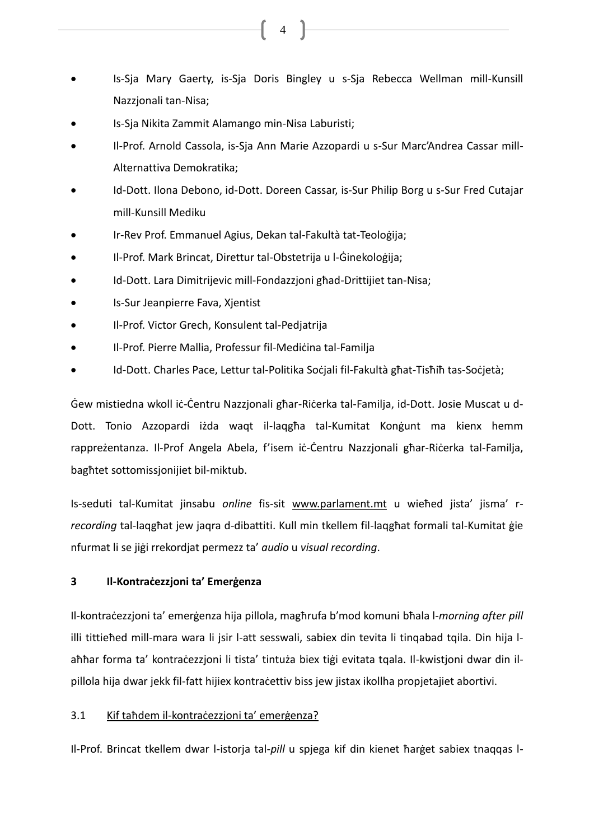- Is-Sja Mary Gaerty, is-Sja Doris Bingley u s-Sja Rebecca Wellman mill-Kunsill Nazzjonali tan-Nisa;
- Is-Sja Nikita Zammit Alamango min-Nisa Laburisti;
- Il-Prof. Arnold Cassola, is-Sja Ann Marie Azzopardi u s-Sur Marc'Andrea Cassar mill-Alternattiva Demokratika;
- Id-Dott. Ilona Debono, id-Dott. Doreen Cassar, is-Sur Philip Borg u s-Sur Fred Cutajar mill-Kunsill Mediku
- Ir-Rev Prof. Emmanuel Agius, Dekan tal-Fakultà tat-Teoloġija;
- Il-Prof. Mark Brincat, Direttur tal-Obstetrija u l-Ġinekoloġija;
- Id-Dott. Lara Dimitrijevic mill-Fondazzjoni għad-Drittijiet tan-Nisa;
- Is-Sur Jeanpierre Fava, Xjentist
- Il-Prof. Victor Grech, Konsulent tal-Pedjatrija
- Il-Prof. Pierre Mallia, Professur fil-Mediċina tal-Familja
- Id-Dott. Charles Pace, Lettur tal-Politika Soċiali fil-Fakultà għat-Tisħiħ tas-Soċjetà;

Ġew mistiedna wkoll iċ-Ċentru Nazzjonali għar-Riċerka tal-Familja, id-Dott. Josie Muscat u d-Dott. Tonio Azzopardi iżda waqt il-laqgħa tal-Kumitat Konġunt ma kienx hemm rappreżentanza. Il-Prof Angela Abela, f'isem iċ-Ċentru Nazzjonali għar-Riċerka tal-Familja, bagħtet sottomissjonijiet bil-miktub.

Is-seduti tal-Kumitat jinsabu *online* fis-sit [www.parlament.mt](http://www.parlament.mt/) u wieħed jista' jisma' r*recording* tal-laqgħat jew jaqra d-dibattiti. Kull min tkellem fil-laqgħat formali tal-Kumitat ġie nfurmat li se jiġi rrekordjat permezz ta' *audio* u *visual recording*.

## <span id="page-3-0"></span>**3 Il-Kontraċezzjoni ta' Emerġenza**

Il-kontraċezzjoni ta' emerġenza hija pillola, magħrufa b'mod komuni bħala l-*morning after pill* illi tittieħed mill-mara wara li jsir l-att sesswali, sabiex din tevita li tinqabad tqila. Din hija laħħar forma ta' kontraċezzjoni li tista' tintuża biex tiġi evitata tqala. Il-kwistjoni dwar din ilpillola hija dwar jekk fil-fatt hijiex kontraċettiv biss jew jistax ikollha propjetajiet abortivi.

## <span id="page-3-1"></span>3.1 Kif taħdem il-kontraċezzjoni ta' emerġenza?

Il-Prof. Brincat tkellem dwar l-istorja tal-*pill* u spjega kif din kienet ħarġet sabiex tnaqqas l-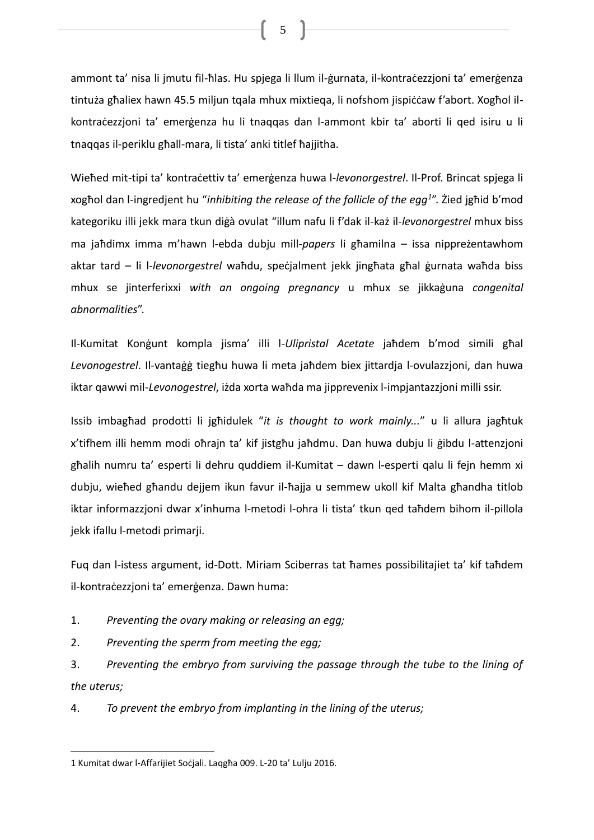ammont ta' nisa li jmutu fil-ħlas. Hu spjega li llum il-ġurnata, il-kontraċezzjoni ta' emerġenza tintuża għaliex hawn 45.5 miljun tqala mhux mixtieqa, li nofshom jispiċċaw f'abort. Xogħol ilkontraċezzjoni ta' emerġenza hu li tnaqqas dan l-ammont kbir ta' aborti li qed isiru u li tnaqqas il-periklu għall-mara, li tista' anki titlef ħajjitha.

Wieħed mit-tipi ta' kontraċettiv ta' emerġenza huwa l-*levonorgestrel*. Il-Prof. Brincat spjega li xogħol dan l-ingredjent hu "*inhibiting the release of the follicle of the egg<sup>1</sup>* ". Żied jgħid b'mod kategoriku illi jekk mara tkun diġà ovulat "illum nafu li f'dak il-każ il-*levonorgestrel* mhux biss ma jaħdimx imma m'hawn l-ebda dubju mill-*papers* li għamilna – issa nippreżentawhom aktar tard – li l-*levonorgestrel* waħdu, speċjalment jekk jingħata għal ġurnata waħda biss mhux se jinterferixxi *with an ongoing pregnancy* u mhux se jikkaġuna *congenital abnormalities*".

Il-Kumitat Konġunt kompla jisma' illi l-*Ulipristal Acetate* jaħdem b'mod simili għal *Levonogestrel*. Il-vantaġġ tiegħu huwa li meta jaħdem biex jittardja l-ovulazzjoni, dan huwa iktar qawwi mil-*Levonogestrel*, iżda xorta waħda ma jipprevenix l-impjantazzjoni milli ssir.

Issib imbagħad prodotti li jgħidulek "*it is thought to work mainly...*" u li allura jagħtuk x'tifhem illi hemm modi oħrajn ta' kif jistgħu jaħdmu. Dan huwa dubju li ġibdu l-attenzjoni għalih numru ta' esperti li dehru quddiem il-Kumitat – dawn l-esperti qalu li fejn hemm xi dubju, wieħed għandu dejjem ikun favur il-ħajja u semmew ukoll kif Malta għandha titlob iktar informazzjoni dwar x'inhuma l-metodi l-ohra li tista' tkun qed taħdem bihom il-pillola jekk ifallu l-metodi primarji.

Fuq dan l-istess argument, id-Dott. Miriam Sciberras tat ħames possibilitajiet ta' kif taħdem il-kontraċezzjoni ta' emerġenza. Dawn huma:

- 1. *Preventing the ovary making or releasing an egg;*
- 2. *Preventing the sperm from meeting the egg;*
- 3. *Preventing the embryo from surviving the passage through the tube to the lining of the uterus;*

4. *To prevent the embryo from implanting in the lining of the uterus;*

 $\overline{a}$ 

<sup>1</sup> Kumitat dwar l-Affarijiet Soċjali. Laqgħa 009. L-20 ta' Lulju 2016.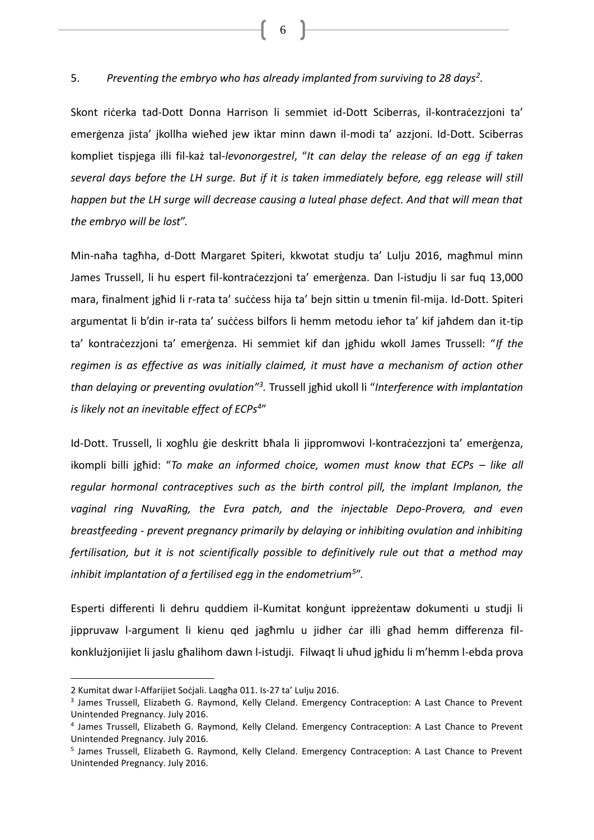5. *Preventing the embryo who has already implanted from surviving to 28 days<sup>2</sup> .*

Skont riċerka tad-Dott Donna Harrison li semmiet id-Dott Sciberras, il-kontraċezzjoni ta' emerġenza jista' jkollha wieħed jew iktar minn dawn il-modi ta' azzjoni. Id-Dott. Sciberras kompliet tispjega illi fil-każ tal-*levonorgestrel*, "*It can delay the release of an egg if taken several days before the LH surge. But if it is taken immediately before, egg release will still happen but the LH surge will decrease causing a luteal phase defect. And that will mean that the embryo will be lost*".

Min-naħa tagħha, d-Dott Margaret Spiteri, kkwotat studju ta' Lulju 2016, magħmul minn James Trussell, li hu espert fil-kontraċezzjoni ta' emerġenza. Dan l-istudju li sar fuq 13,000 mara, finalment jgħid li r-rata ta' suċċess hija ta' bejn sittin u tmenin fil-mija. Id-Dott. Spiteri argumentat li b'din ir-rata ta' suċċess bilfors li hemm metodu ieħor ta' kif jaħdem dan it-tip ta' kontraċezzjoni ta' emerġenza. Hi semmiet kif dan jgħidu wkoll James Trussell: "*If the regimen is as effective as was initially claimed, it must have a mechanism of action other than delaying or preventing ovulation"<sup>3</sup> .* Trussell jgħid ukoll li "*Interference with implantation is likely not an inevitable effect of ECPs<sup>4</sup>* "

Id-Dott. Trussell, li xogħlu ģie deskritt bħala li jippromwovi l-kontraċezzjoni ta' emerģenza, ikompli billi jghid: "To make an informed choice, women must know that ECPs – like all *regular hormonal contraceptives such as the birth control pill, the implant Implanon, the vaginal ring NuvaRing, the Evra patch, and the injectable Depo-Provera, and even breastfeeding - prevent pregnancy primarily by delaying or inhibiting ovulation and inhibiting fertilisation, but it is not scientifically possible to definitively rule out that a method may inhibit implantation of a fertilised egg in the endometrium<sup>5</sup>* ".

Esperti differenti li dehru quddiem il-Kumitat konġunt ippreżentaw dokumenti u studji li jippruvaw l-argument li kienu qed jagħmlu u jidher ċar illi għad hemm differenza filkonklużjonijiet li jaslu għalihom dawn l-istudji. Filwaqt li uħud jgħidu li m'hemm l-ebda prova

<sup>2</sup> Kumitat dwar l-Affarijiet Soċjali. Laqgħa 011. Is-27 ta' Lulju 2016.

<sup>&</sup>lt;sup>3</sup> James Trussell, Elizabeth G. Raymond, Kelly Cleland. Emergency Contraception: A Last Chance to Prevent Unintended Pregnancy. July 2016.

<sup>4</sup> James Trussell, Elizabeth G. Raymond, Kelly Cleland. Emergency Contraception: A Last Chance to Prevent Unintended Pregnancy. July 2016.

<sup>&</sup>lt;sup>5</sup> James Trussell, Elizabeth G. Raymond, Kelly Cleland. Emergency Contraception: A Last Chance to Prevent Unintended Pregnancy. July 2016.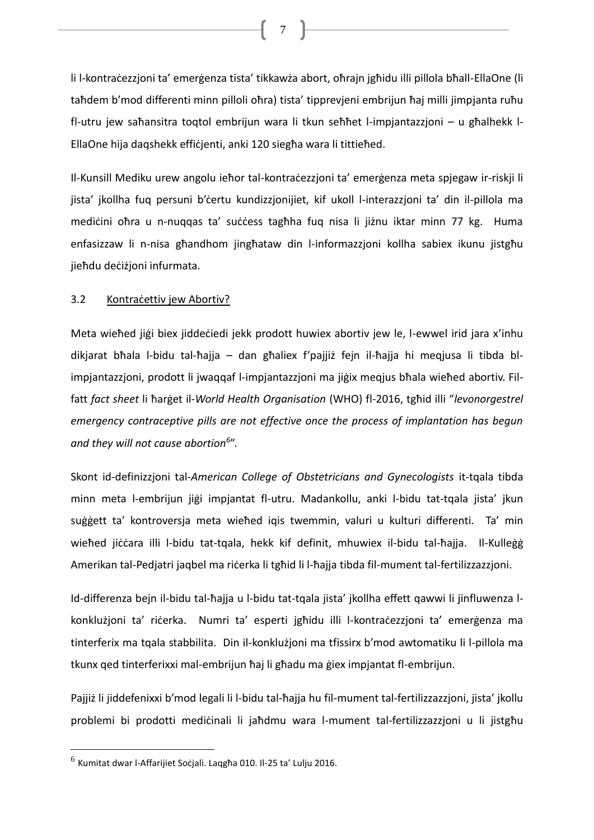li l-kontraċezzjoni ta' emerġenza tista' tikkawża abort, oħrajn jgħidu illi pillola bħall-EllaOne (li taħdem b'mod differenti minn pilloli oħra) tista' tipprevjeni embrijun ħaj milli jimpjanta ruħu fl-utru jew saħansitra toqtol embrijun wara li tkun seħħet l-impjantazzjoni – u għalhekk l-EllaOne hija daqshekk effiċjenti, anki 120 siegħa wara li tittieħed.

7

Il-Kunsill Mediku urew angolu ieħor tal-kontraċezzjoni ta' emerġenza meta spjegaw ir-riskji li jista' jkollha fuq persuni b'certu kundizzjonijiet, kif ukoll l-interazzjoni ta' din il-pillola ma mediċini oħra u n-nuqqas ta' suċċess tagħha fuq nisa li jiżnu iktar minn 77 kg. Huma enfasizzaw li n-nisa għandhom jingħataw din l-informazzjoni kollha sabiex ikunu jistgħu jieħdu deċiżjoni infurmata.

## <span id="page-6-0"></span>3.2 Kontracettiv jew Abortiv?

Meta wieħed jiġi biex jiddeċiedi jekk prodott huwiex abortiv jew le, l-ewwel irid jara x'inhu dikjarat bħala l-bidu tal-ħajja – dan għaliex f'pajjiż fejn il-ħajja hi meqjusa li tibda blimpjantazzjoni, prodott li jwaqqaf l-impjantazzjoni ma jiġix meqjus bħala wieħed abortiv. Filfatt *fact sheet* li ħarġet il-*World Health Organisation* (WHO) fl-2016, tgħid illi "*levonorgestrel emergency contraceptive pills are not effective once the process of implantation has begun and they will not cause abortion<sup>6</sup>* ".

Skont id-definizzjoni tal-*American College of Obstetricians and Gynecologists* it-tqala tibda minn meta l-embrijun jiġi impjantat fl-utru. Madankollu, anki l-bidu tat-tqala jista' jkun suġġett ta' kontroversja meta wieħed iqis twemmin, valuri u kulturi differenti. Ta' min wieħed jiċċara illi l-bidu tat-tqala, hekk kif definit, mhuwiex il-bidu tal-ħajja. Il-Kulleġġ Amerikan tal-Pedjatri jaqbel ma riċerka li tgħid li l-ħajja tibda fil-mument tal-fertilizzazzjoni.

Id-differenza bejn il-bidu tal-ħajja u l-bidu tat-tqala jista' jkollha effett qawwi li jinfluwenza lkonklużjoni ta' riċerka. Numri ta' esperti jgħidu illi l-kontraċezzjoni ta' emerġenza ma tinterferix ma tqala stabbilita. Din il-konklużjoni ma tfissirx b'mod awtomatiku li l-pillola ma tkunx qed tinterferixxi mal-embrijun ħaj li għadu ma ġiex impjantat fl-embrijun.

Pajjiż li jiddefenixxi b'mod legali li l-bidu tal-ħajja hu fil-mument tal-fertilizzazzjoni, jista' jkollu problemi bi prodotti mediċinali li jaħdmu wara l-mument tal-fertilizzazzjoni u li jistgħu

<sup>&</sup>lt;sup>6</sup> Kumitat dwar l-Affarijiet Soċjali. Laqgħa 010. Il-25 ta' Lulju 2016.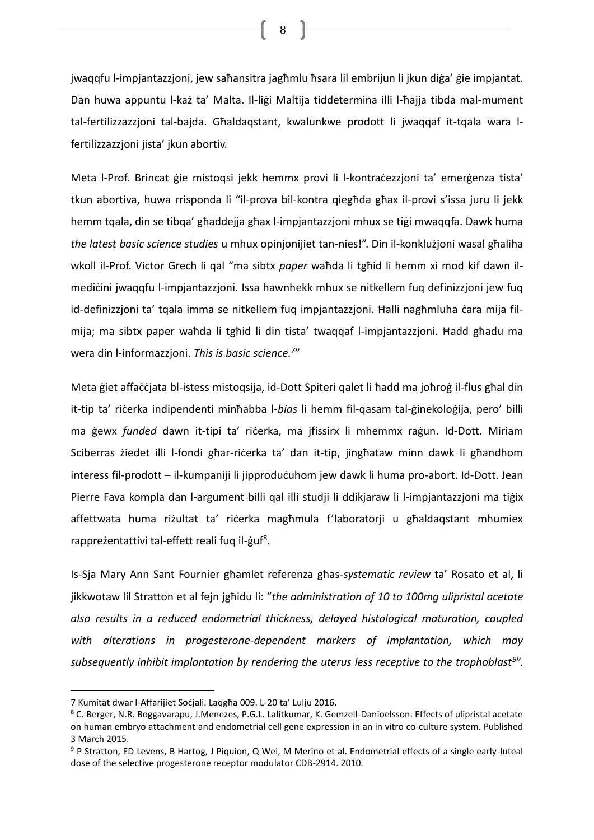jwaqqfu l-impjantazzjoni, jew saħansitra jagħmlu ħsara lil embrijun li jkun diġa' ġie impjantat. Dan huwa appuntu l-każ ta' Malta. Il-liġi Maltija tiddetermina illi l-ħajja tibda mal-mument tal-fertilizzazzjoni tal-bajda. Għaldaqstant, kwalunkwe prodott li jwaqqaf it-tqala wara lfertilizzazzjoni jista' jkun abortiv.

Meta l-Prof. Brincat ġie mistoqsi jekk hemmx provi li l-kontraċezzjoni ta' emerġenza tista' tkun abortiva, huwa rrisponda li "il-prova bil-kontra qiegħda għax il-provi s'issa juru li jekk hemm tqala, din se tibqa' għaddejja għax l-impjantazzjoni mhux se tiġi mwaqqfa. Dawk huma *the latest basic science studies* u mhux opinjonijiet tan-nies!". Din il-konklużjoni wasal għaliha wkoll il-Prof. Victor Grech li qal "ma sibtx *paper* waħda li tgħid li hemm xi mod kif dawn ilmediċini jwaqqfu l-impjantazzjoni*.* Issa hawnhekk mhux se nitkellem fuq definizzjoni jew fuq id-definizzjoni ta' tqala imma se nitkellem fuq impjantazzjoni. Ħalli nagħmluha ċara mija filmija; ma sibtx paper waħda li tgħid li din tista' twaqqaf l-impjantazzjoni. Ħadd għadu ma wera din l-informazzjoni. *This is basic science.<sup>7</sup>* "

Meta ġiet affaċċjata bl-istess mistoqsija, id-Dott Spiteri qalet li ħadd ma joħroġ il-flus għal din it-tip ta' riċerka indipendenti minħabba l-*bias* li hemm fil-qasam tal-ġinekoloġija, pero' billi ma ġewx *funded* dawn it-tipi ta' riċerka, ma jfissirx li mhemmx raġun. Id-Dott. Miriam Sciberras żiedet illi l-fondi għar-riċerka ta' dan it-tip, jingħataw minn dawk li għandhom interess fil-prodott – il-kumpaniji li jipproduċuhom jew dawk li huma pro-abort. Id-Dott. Jean Pierre Fava kompla dan l-argument billi qal illi studji li ddikjaraw li l-impjantazzjoni ma tiġix affettwata huma riżultat ta' riċerka magħmula f'laboratorji u għaldaqstant mhumiex rappreżentattivi tal-effett reali fuq il-ġuf<sup>8</sup>.

Is-Sja Mary Ann Sant Fournier għamlet referenza għas-*systematic review* ta' Rosato et al, li jikkwotaw lil Stratton et al fejn jgħidu li: "*the administration of 10 to 100mg ulipristal acetate also results in a reduced endometrial thickness, delayed histological maturation, coupled with alterations in progesterone-dependent markers of implantation, which may subsequently inhibit implantation by rendering the uterus less receptive to the trophoblast<sup>9</sup>* ".

 $\overline{a}$ 

<sup>7</sup> Kumitat dwar l-Affarijiet Soċjali. Laqgħa 009. L-20 ta' Lulju 2016.

<sup>8</sup> C. Berger, N.R. Boggavarapu, J.Menezes, P.G.L. Lalitkumar, K. Gemzell-Danioelsson. Effects of ulipristal acetate on human embryo attachment and endometrial cell gene expression in an in vitro co-culture system. Published 3 March 2015.

<sup>9</sup> P Stratton, ED Levens, B Hartog, J Piquion, Q Wei, M Merino et al. Endometrial effects of a single early-luteal dose of the selective progesterone receptor modulator CDB-2914. 2010.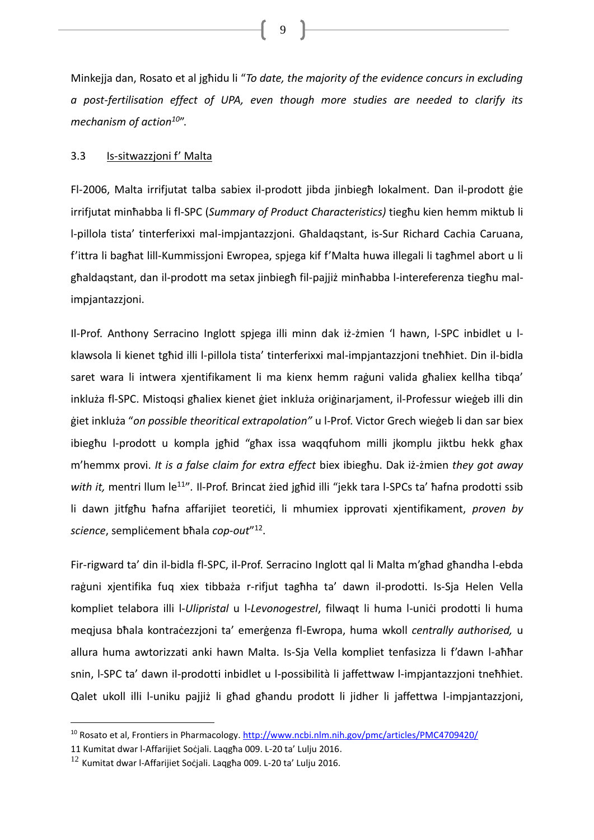Minkejja dan, Rosato et al jgħidu li "*To date, the majority of the evidence concurs in excluding a post-fertilisation effect of UPA, even though more studies are needed to clarify its mechanism of action<sup>10</sup>*".

#### <span id="page-8-0"></span>3.3 Is-sitwazzjoni f' Malta

Fl-2006, Malta irrifjutat talba sabiex il-prodott jibda jinbiegħ lokalment. Dan il-prodott ġie irrifjutat minħabba li fl-SPC (*Summary of Product Characteristics)* tiegħu kien hemm miktub li l-pillola tista' tinterferixxi mal-impjantazzjoni. Għaldaqstant, is-Sur Richard Cachia Caruana, f'ittra li bagħat lill-Kummissjoni Ewropea, spjega kif f'Malta huwa illegali li tagħmel abort u li għaldaqstant, dan il-prodott ma setax jinbiegħ fil-pajjiż minħabba l-intereferenza tiegħu malimpjantazzjoni.

Il-Prof. Anthony Serracino Inglott spjega illi minn dak iż-żmien 'l hawn, l-SPC inbidlet u lklawsola li kienet tgħid illi l-pillola tista' tinterferixxi mal-impjantazzjoni tneħħiet. Din il-bidla saret wara li intwera xjentifikament li ma kienx hemm raġuni valida għaliex kellha tibqa' inkluża fl-SPC. Mistoqsi għaliex kienet ġiet inkluża oriġinarjament, il-Professur wieġeb illi din ġiet inkluża "*on possible theoritical extrapolation"* u l-Prof. Victor Grech wieġeb li dan sar biex ibiegħu l-prodott u kompla jgħid "għax issa waqqfuhom milli jkomplu jiktbu hekk għax m'hemmx provi. *It is a false claim for extra effect* biex ibiegħu. Dak iż-żmien *they got away*  with it, mentri llum le<sup>11</sup>". Il-Prof. Brincat żied jgħid illi "jekk tara l-SPCs ta' ħafna prodotti ssib li dawn jitfgħu ħafna affarijiet teoretiċi, li mhumiex ipprovati xjentifikament, *proven by science*, sempliċement bħala *cop-out*" 12 .

Fir-rigward ta' din il-bidla fl-SPC, il-Prof. Serracino Inglott qal li Malta m'għad għandha l-ebda raġuni xjentifika fuq xiex tibbaża r-rifjut tagħha ta' dawn il-prodotti. Is-Sja Helen Vella kompliet telabora illi l-*Ulipristal* u l-Levonogestrel, filwaqt li huma l-unici prodotti li huma meqjusa bħala kontraċezzjoni ta' emerġenza fl-Ewropa, huma wkoll *centrally authorised,* u allura huma awtorizzati anki hawn Malta. Is-Sja Vella kompliet tenfasizza li f'dawn l-aħħar snin, l-SPC ta' dawn il-prodotti inbidlet u l-possibilità li jaffettwaw l-impjantazzjoni tneħħiet. Qalet ukoll illi l-uniku pajjiż li għad għandu prodott li jidher li jaffettwa l-impjantazzjoni,

 $\overline{a}$ 

<sup>&</sup>lt;sup>10</sup> Rosato et al, Frontiers in Pharmacology[. http://www.ncbi.nlm.nih.gov/pmc/articles/PMC4709420/](http://www.ncbi.nlm.nih.gov/pmc/articles/PMC4709420/)

<sup>11</sup> Kumitat dwar l-Affarijiet Soċjali. Laqgħa 009. L-20 ta' Lulju 2016.

<sup>12</sup> Kumitat dwar l-Affarijiet Soċjali. Laqgħa 009. L-20 ta' Lulju 2016.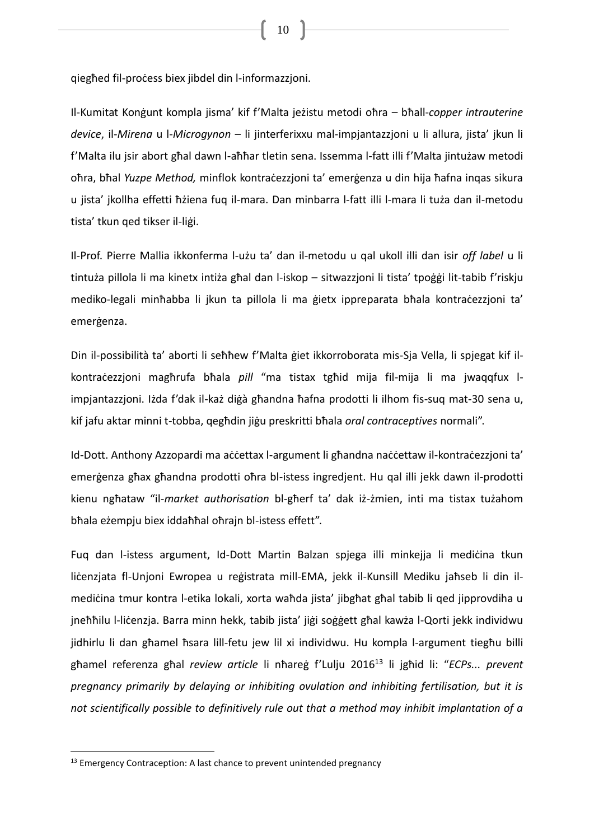qiegħed fil-proċess biex jibdel din l-informazzjoni.

Il-Kumitat Konġunt kompla jisma' kif f'Malta jeżistu metodi oħra – bħall-*copper intrauterine device*, il-*Mirena* u l-*Microgynon* – li jinterferixxu mal-impjantazzjoni u li allura, jista' jkun li f'Malta ilu jsir abort għal dawn l-aħħar tletin sena. Issemma l-fatt illi f'Malta jintużaw metodi oħra, bħal *Yuzpe Method,* minflok kontraċezzjoni ta' emerġenza u din hija ħafna inqas sikura u jista' jkollha effetti ħżiena fuq il-mara. Dan minbarra l-fatt illi l-mara li tuża dan il-metodu tista' tkun qed tikser il-liġi.

Il-Prof. Pierre Mallia ikkonferma l-użu ta' dan il-metodu u qal ukoll illi dan isir *off label* u li tintuża pillola li ma kinetx intiża għal dan l-iskop – sitwazzjoni li tista' tpoġġi lit-tabib f'riskju mediko-legali minħabba li jkun ta pillola li ma ġietx ippreparata bħala kontraċezzjoni ta' emerġenza.

Din il-possibilità ta' aborti li seħħew f'Malta ġiet ikkorroborata mis-Sja Vella, li spjegat kif ilkontraċezzjoni magħrufa bħala *pill* "ma tistax tgħid mija fil-mija li ma jwaqqfux limpjantazzjoni. Iżda f'dak il-każ diġà għandna ħafna prodotti li ilhom fis-suq mat-30 sena u, kif jafu aktar minni t-tobba, qegħdin jiġu preskritti bħala *oral contraceptives* normali".

Id-Dott. Anthony Azzopardi ma aċċettax l-argument li għandna naċċettaw il-kontraċezzjoni ta' emerġenza għax għandna prodotti oħra bl-istess ingredjent. Hu qal illi jekk dawn il-prodotti kienu ngħataw "il-*market authorisation* bl-għerf ta' dak iż-żmien, inti ma tistax tużahom bħala eżempju biex iddaħħal oħrajn bl-istess effett".

Fuq dan l-istess argument, Id-Dott Martin Balzan spjega illi minkejja li medićina tkun liċenzjata fl-Unjoni Ewropea u reģistrata mill-EMA, jekk il-Kunsill Mediku jaħseb li din ilmediċina tmur kontra l-etika lokali, xorta waħda jista' jibgħat għal tabib li qed jipprovdiha u jneħħilu l-liċenzja. Barra minn hekk, tabib jista' jiġi soġġett għal kawża l-Qorti jekk individwu jidhirlu li dan għamel ħsara lill-fetu jew lil xi individwu. Hu kompla l-argument tiegħu billi għamel referenza għal *review article* li nħareġ f'Lulju 2016<sup>13</sup> li jgħid li: "*ECPs... prevent pregnancy primarily by delaying or inhibiting ovulation and inhibiting fertilisation, but it is not scientifically possible to definitively rule out that a method may inhibit implantation of a* 

<sup>&</sup>lt;sup>13</sup> Emergency Contraception: A last chance to prevent unintended pregnancy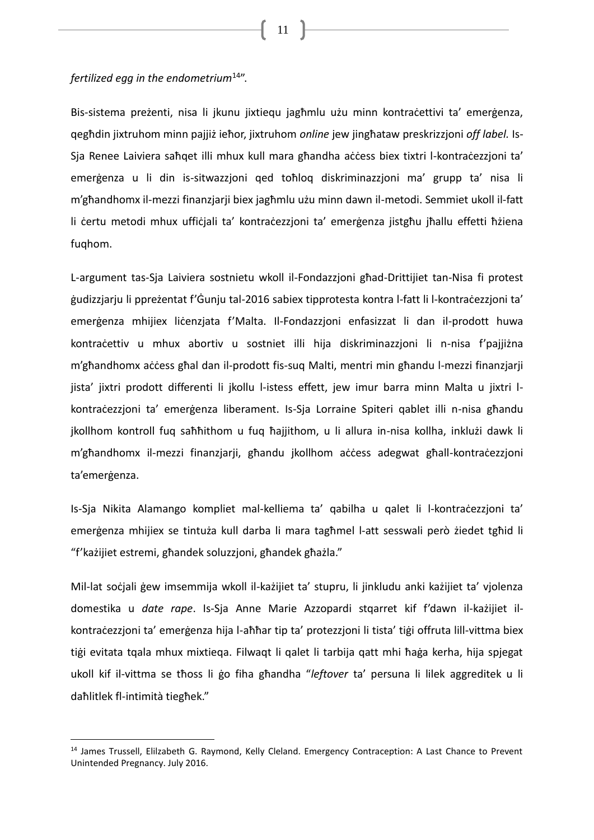#### *fertilized egg in the endometrium*<sup>14</sup>".

 $\overline{a}$ 

Bis-sistema preżenti, nisa li jkunu jixtiequ jagħmlu użu minn kontraċettivi ta' emerġenza, qegħdin jixtruhom minn pajjiż ieħor, jixtruhom *online* jew jingħataw preskrizzjoni *off label.* Is-Sja Renee Laiviera saħqet illi mhux kull mara għandha aċċess biex tixtri l-kontraċezzjoni ta' emerġenza u li din is-sitwazzjoni qed toħloq diskriminazzjoni ma' grupp ta' nisa li m'għandhomx il-mezzi finanzjarji biex jagħmlu użu minn dawn il-metodi. Semmiet ukoll il-fatt li certu metodi mhux ufficjali ta' kontracezzjoni ta' emerġenza jistgħu jħallu effetti ħżiena fuqhom.

L-argument tas-Sja Laiviera sostnietu wkoll il-Fondazzjoni għad-Drittijiet tan-Nisa fi protest ġudizzjarju li ppreżentat f'Ġunju tal-2016 sabiex tipprotesta kontra l-fatt li l-kontraċezzjoni ta' emerġenza mhijiex liċenzjata f'Malta. Il-Fondazzjoni enfasizzat li dan il-prodott huwa kontraċettiv u mhux abortiv u sostniet illi hija diskriminazzjoni li n-nisa f'pajjiżna m'għandhomx aċċess għal dan il-prodott fis-suq Malti, mentri min għandu l-mezzi finanzjarji jista' jixtri prodott differenti li jkollu l-istess effett, jew imur barra minn Malta u jixtri lkontraċezzjoni ta' emerġenza liberament. Is-Sja Lorraine Spiteri qablet illi n-nisa għandu jkollhom kontroll fuq saħħithom u fuq ħajjithom, u li allura in-nisa kollha, inklużi dawk li m'għandhomx il-mezzi finanzjarji, għandu jkollhom aċċess adegwat għall-kontraċezzjoni ta'emerġenza.

Is-Sja Nikita Alamango kompliet mal-kelliema ta' qabilha u qalet li l-kontraċezzjoni ta' emerġenza mhijiex se tintuża kull darba li mara tagħmel l-att sesswali però żiedet tgħid li "f'każijiet estremi, għandek soluzzjoni, għandek għażla."

Mil-lat soċjali gew imsemmija wkoll il-każijiet ta' stupru, li jinkludu anki każijiet ta' vjolenza domestika u *date rape*. Is-Sja Anne Marie Azzopardi stqarret kif f'dawn il-każijiet ilkontraċezzjoni ta' emerġenza hija l-aħħar tip ta' protezzjoni li tista' tiġi offruta lill-vittma biex tiġi evitata tqala mhux mixtieqa. Filwaqt li qalet li tarbija qatt mhi ħaġa kerha, hija spjegat ukoll kif il-vittma se tħoss li ġo fiha għandha "*leftover* ta' persuna li lilek aggreditek u li daħlitlek fl-intimità tiegħek."

<sup>&</sup>lt;sup>14</sup> James Trussell, Elilzabeth G. Raymond, Kelly Cleland. Emergency Contraception: A Last Chance to Prevent Unintended Pregnancy. July 2016.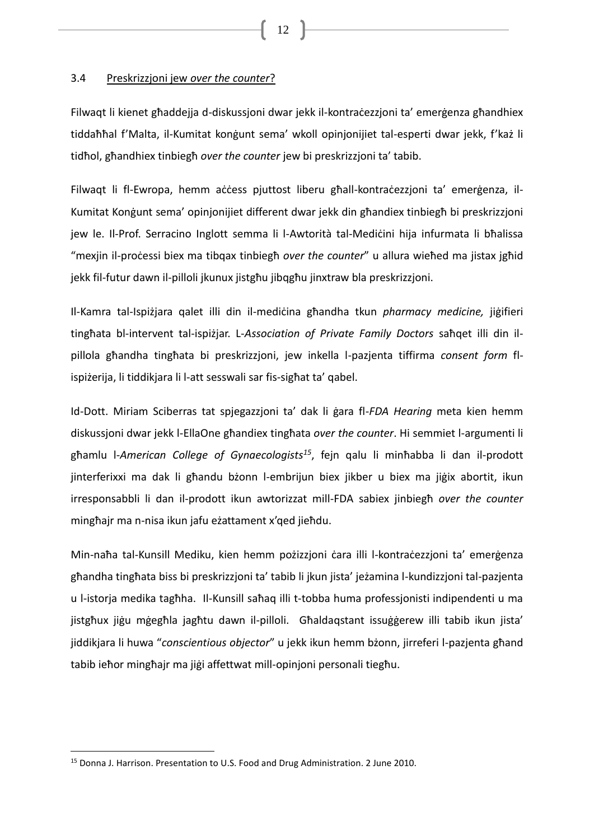## <span id="page-11-0"></span>3.4 Preskrizzjoni jew *over the counter*?

Filwaqt li kienet għaddejja d-diskussjoni dwar jekk il-kontraċezzjoni ta' emerġenza għandhiex tiddaħħal f'Malta, il-Kumitat konġunt sema' wkoll opinjonijiet tal-esperti dwar jekk, f'każ li tidħol, għandhiex tinbiegħ *over the counter* jew bi preskrizzjoni ta' tabib.

Filwaqt li fl-Ewropa, hemm aċċess pjuttost liberu għall-kontraċezzjoni ta' emerġenza, il-Kumitat Konġunt sema' opinjonijiet different dwar jekk din għandiex tinbiegħ bi preskrizzjoni jew le. Il-Prof. Serracino Inglott semma li l-Awtorità tal-Medicini hija infurmata li bħalissa "mexjin il-processi biex ma tibqax tinbiegh *over the counter*" u allura wiehed ma jistax jghid jekk fil-futur dawn il-pilloli jkunux jistgħu jibqgħu jinxtraw bla preskrizzjoni.

Il-Kamra tal-Ispiżjara qalet illi din il-mediċina għandha tkun *pharmacy medicine,* jiġifieri tingħata bl-intervent tal-ispiżjar. L-*Association of Private Family Doctors* saħqet illi din ilpillola għandha tingħata bi preskrizzjoni, jew inkella l-pazjenta tiffirma *consent form* flispiżerija, li tiddikjara li l-att sesswali sar fis-sigħat ta' qabel.

Id-Dott. Miriam Sciberras tat spjegazzjoni ta' dak li ġara fl-*FDA Hearing* meta kien hemm diskussjoni dwar jekk l-EllaOne għandiex tingħata *over the counter*. Hi semmiet l-argumenti li għamlu l-*American College of Gynaecologists<sup>15</sup>*, fejn qalu li minħabba li dan il-prodott jinterferixxi ma dak li għandu bżonn l-embrijun biex jikber u biex ma jiġix abortit, ikun irresponsabbli li dan il-prodott ikun awtorizzat mill-FDA sabiex jinbiegħ *over the counter*  mingħajr ma n-nisa ikun jafu eżattament x'qed jieħdu.

Min-naħa tal-Kunsill Mediku, kien hemm pożizzjoni ċara illi l-kontraċezzjoni ta' emerġenza għandha tingħata biss bi preskrizzjoni ta' tabib li jkun jista' jeżamina l-kundizzjoni tal-pazjenta u l-istorja medika tagħha. Il-Kunsill saħaq illi t-tobba huma professjonisti indipendenti u ma jistgħux jiġu mġegħla jagħtu dawn il-pilloli. Għaldaqstant issuġġerew illi tabib ikun jista' jiddikjara li huwa "*conscientious objector*" u jekk ikun hemm bżonn, jirreferi l-pazjenta għand tabib ieħor mingħajr ma jiġi affettwat mill-opinjoni personali tiegħu.

 $\overline{a}$ 

<sup>15</sup> Donna J. Harrison. Presentation to U.S. Food and Drug Administration. 2 June 2010.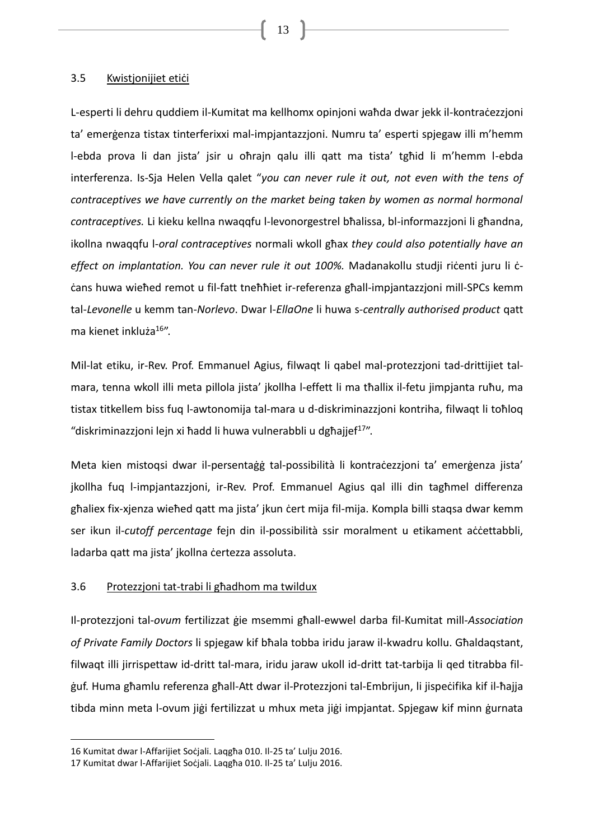#### <span id="page-12-0"></span>3.5 Kwistjonijiet etići

L-esperti li dehru quddiem il-Kumitat ma kellhomx opinjoni waħda dwar jekk il-kontraċezzjoni ta' emerġenza tistax tinterferixxi mal-impjantazzjoni. Numru ta' esperti spjegaw illi m'hemm l-ebda prova li dan jista' jsir u oħrajn qalu illi qatt ma tista' tgħid li m'hemm l-ebda interferenza. Is-Sja Helen Vella qalet "*you can never rule it out, not even with the tens of contraceptives we have currently on the market being taken by women as normal hormonal contraceptives.* Li kieku kellna nwaqqfu l-levonorgestrel bħalissa, bl-informazzjoni li għandna, ikollna nwaqqfu l-*oral contraceptives* normali wkoll għax *they could also potentially have an effect on implantation. You can never rule it out 100%.* Madanakollu studji riċenti juru li ċċans huwa wieħed remot u fil-fatt tneħħiet ir-referenza għall-impjantazzjoni mill-SPCs kemm tal-*Levonelle* u kemm tan-*Norlevo*. Dwar l-*EllaOne* li huwa s-*centrally authorised product* qatt ma kienet inkluża<sup>16</sup>".

Mil-lat etiku, ir-Rev. Prof. Emmanuel Agius, filwaqt li qabel mal-protezzjoni tad-drittijiet talmara, tenna wkoll illi meta pillola jista' jkollha l-effett li ma tħallix il-fetu jimpjanta ruħu, ma tistax titkellem biss fuq l-awtonomija tal-mara u d-diskriminazzjoni kontriha, filwaqt li toħloq "diskriminazzjoni lejn xi ħadd li huwa vulnerabbli u dgħajjef<sup>17</sup>".

Meta kien mistoqsi dwar il-persentaġġ tal-possibilità li kontraċezzjoni ta' emerġenza jista' jkollha fuq l-impjantazzjoni, ir-Rev. Prof. Emmanuel Agius qal illi din tagħmel differenza għaliex fix-xjenza wieħed qatt ma jista' jkun ċert mija fil-mija. Kompla billi staqsa dwar kemm ser ikun il-*cutoff percentage* fejn din il-possibilità ssir moralment u etikament aċċettabbli, ladarba qatt ma jista' jkollna certezza assoluta.

## <span id="page-12-1"></span>3.6 Protezzjoni tat-trabi li għadhom ma twildux

Il-protezzjoni tal-*ovum* fertilizzat ġie msemmi għall-ewwel darba fil-Kumitat mill-*Association of Private Family Doctors* li spjegaw kif bħala tobba iridu jaraw il-kwadru kollu. Għaldaqstant, filwaqt illi jirrispettaw id-dritt tal-mara, iridu jaraw ukoll id-dritt tat-tarbija li qed titrabba filġuf. Huma għamlu referenza għall-Att dwar il-Protezzjoni tal-Embrijun, li jispeċifika kif il-ħajja tibda minn meta l-ovum jiġi fertilizzat u mhux meta jiġi impjantat. Spjegaw kif minn ġurnata

<sup>16</sup> Kumitat dwar l-Affarijiet Soċjali. Laqgħa 010. Il-25 ta' Lulju 2016.

<sup>17</sup> Kumitat dwar l-Affarijiet Soċjali. Laqgħa 010. Il-25 ta' Lulju 2016.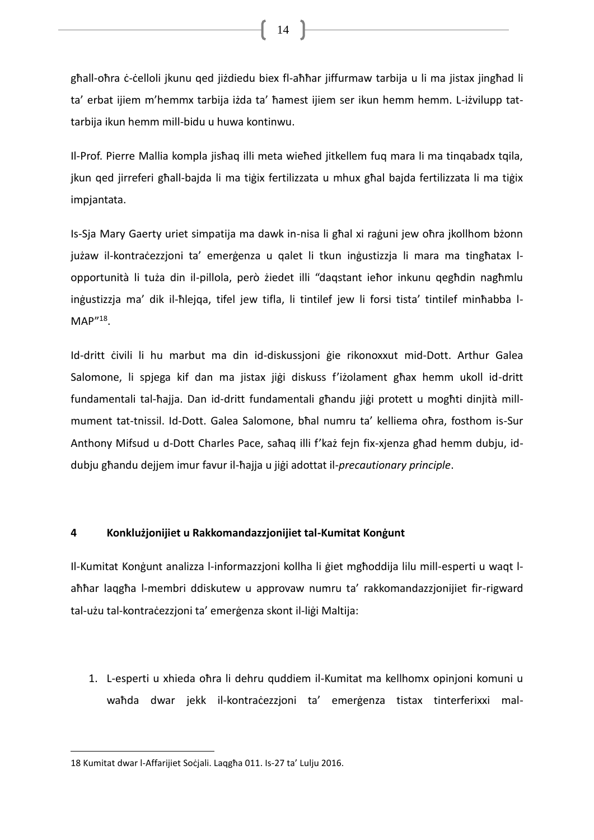għall-oħra ċ-ċelloli jkunu qed jiżdiedu biex fl-aħħar jiffurmaw tarbija u li ma jistax jingħad li ta' erbat ijiem m'hemmx tarbija iżda ta' ħamest ijiem ser ikun hemm hemm. L-iżvilupp tattarbija ikun hemm mill-bidu u huwa kontinwu.

Il-Prof. Pierre Mallia kompla jisħaq illi meta wieħed jitkellem fuq mara li ma tinqabadx tqila, jkun qed jirreferi għall-bajda li ma tiġix fertilizzata u mhux għal bajda fertilizzata li ma tiġix impjantata.

Is-Sja Mary Gaerty uriet simpatija ma dawk in-nisa li għal xi raġuni jew oħra jkollhom bżonn jużaw il-kontraċezzjoni ta' emerġenza u qalet li tkun inġustizzja li mara ma tingħatax lopportunità li tuża din il-pillola, però żiedet illi "daqstant ieħor inkunu qegħdin nagħmlu inġustizzja ma' dik il-ħlejqa, tifel jew tifla, li tintilef jew li forsi tista' tintilef minħabba l-MAP"<sup>18</sup>.

Id-dritt ċivili li hu marbut ma din id-diskussjoni ġie rikonoxxut mid-Dott. Arthur Galea Salomone, li spjega kif dan ma jistax jiġi diskuss f'iżolament għax hemm ukoll id-dritt fundamentali tal-ħajja. Dan id-dritt fundamentali għandu jiġi protett u mogħti dinjità millmument tat-tnissil. Id-Dott. Galea Salomone, bħal numru ta' kelliema oħra, fosthom is-Sur Anthony Mifsud u d-Dott Charles Pace, saħaq illi f'każ fejn fix-xjenza għad hemm dubju, iddubju għandu dejjem imur favur il-ħajja u jiġi adottat il-*precautionary principle*.

## <span id="page-13-0"></span>**4 Konklużjonijiet u Rakkomandazzjonijiet tal-Kumitat Konġunt**

Il-Kumitat Konġunt analizza l-informazzjoni kollha li ġiet mgħoddija lilu mill-esperti u waqt laħħar laqgħa l-membri ddiskutew u approvaw numru ta' rakkomandazzjonijiet fir-rigward tal-użu tal-kontraċezzjoni ta' emerġenza skont il-liġi Maltija:

1. L-esperti u xhieda oħra li dehru quddiem il-Kumitat ma kellhomx opinjoni komuni u waħda dwar jekk il-kontraċezzjoni ta' emerġenza tistax tinterferixxi mal-

 $\overline{a}$ 

<sup>18</sup> Kumitat dwar l-Affarijiet Soċjali. Laqgħa 011. Is-27 ta' Lulju 2016.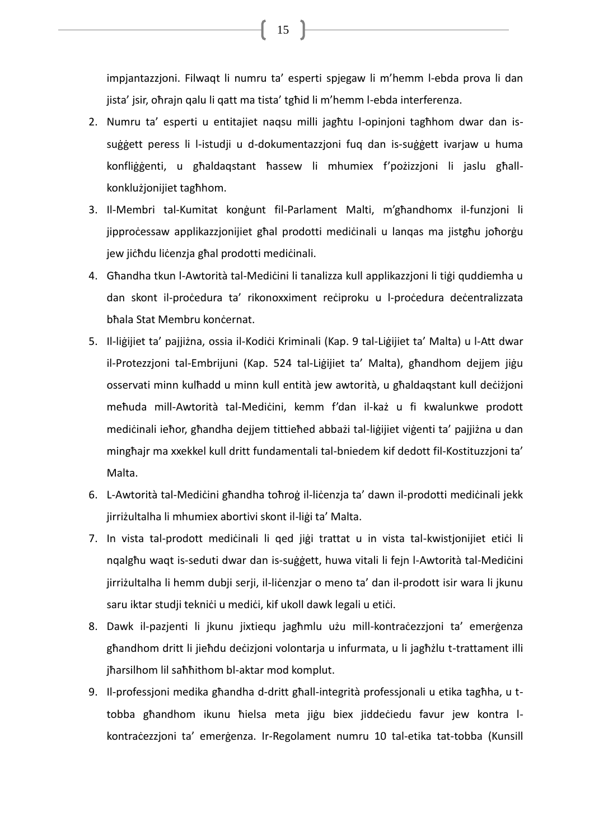impjantazzjoni. Filwaqt li numru ta' esperti spjegaw li m'hemm l-ebda prova li dan jista' jsir, oħrajn qalu li qatt ma tista' tgħid li m'hemm l-ebda interferenza.

- 2. Numru ta' esperti u entitajiet naqsu milli jagħtu l-opinjoni tagħhom dwar dan issuġġett peress li l-istudji u d-dokumentazzjoni fuq dan is-suġġett ivarjaw u huma konfliġġenti, u għaldaqstant ħassew li mhumiex f'pożizzjoni li jaslu għallkonklużjonijiet tagħhom.
- 3. Il-Membri tal-Kumitat konġunt fil-Parlament Malti, m'għandhomx il-funzjoni li jipproċessaw applikazzjonijiet għal prodotti mediċinali u lanqas ma jistgħu joħorġu jew jiċħdu liċenzja għal prodotti mediċinali.
- 4. Għandha tkun l-Awtorità tal-Mediċini li tanalizza kull applikazzjoni li tiġi quddiemha u dan skont il-proċedura ta' rikonoxximent reċiproku u l-proċedura deċentralizzata bhala Stat Membru koncernat.
- 5. Il-liġijiet ta' pajjiżna, ossia il-Kodiċi Kriminali (Kap. 9 tal-Liġijiet ta' Malta) u l-Att dwar il-Protezzjoni tal-Embrijuni (Kap. 524 tal-Liġijiet ta' Malta), għandhom dejjem jiġu osservati minn kulħadd u minn kull entità jew awtorità, u għaldaqstant kull deċiżjoni meħuda mill-Awtorità tal-Mediċini, kemm f'dan il-każ u fi kwalunkwe prodott mediċinali ieħor, għandha dejjem tittieħed abbażi tal-liġijiet viġenti ta' pajjiżna u dan mingħajr ma xxekkel kull dritt fundamentali tal-bniedem kif dedott fil-Kostituzzjoni ta' Malta.
- 6. L-Awtorità tal-Mediċini għandha toħroġ il-liċenzja ta' dawn il-prodotti mediċinali jekk jirriżultalha li mhumiex abortivi skont il-liġi ta' Malta.
- 7. In vista tal-prodott medicinali li qed jiği trattat u in vista tal-kwistjonijiet etici li nqalgħu waqt is-seduti dwar dan is-suġġett, huwa vitali li fejn l-Awtorità tal-Mediċini jirriżultalha li hemm dubji serji, il-liċenzjar o meno ta' dan il-prodott isir wara li jkunu saru iktar studji teknići u medići, kif ukoll dawk legali u etići.
- 8. Dawk il-pazjenti li jkunu jixtiequ jagħmlu użu mill-kontraċezzjoni ta' emerġenza għandhom dritt li jieħdu deċizjoni volontarja u infurmata, u li jagħżlu t-trattament illi jħarsilhom lil saħħithom bl-aktar mod komplut.
- 9. Il-professjoni medika għandha d-dritt għall-integrità professjonali u etika tagħha, u ttobba għandhom ikunu ħielsa meta jiġu biex jiddeċiedu favur jew kontra lkontraċezzjoni ta' emerġenza. Ir-Regolament numru 10 tal-etika tat-tobba (Kunsill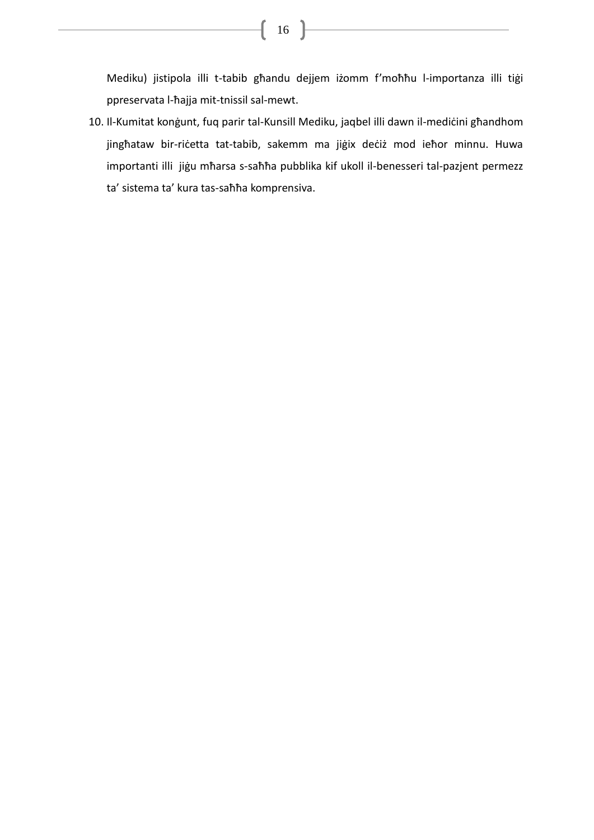Mediku) jistipola illi t-tabib għandu dejjem iżomm f'moħħu l-importanza illi tiġi ppreservata l-ħajja mit-tnissil sal-mewt.

10. Il-Kumitat konġunt, fuq parir tal-Kunsill Mediku, jaqbel illi dawn il-mediċini għandhom jingħataw bir-riċetta tat-tabib, sakemm ma jiġix deċiż mod ieħor minnu. Huwa importanti illi jiġu mħarsa s-saħħa pubblika kif ukoll il-benesseri tal-pazjent permezz ta' sistema ta' kura tas-saħħa komprensiva.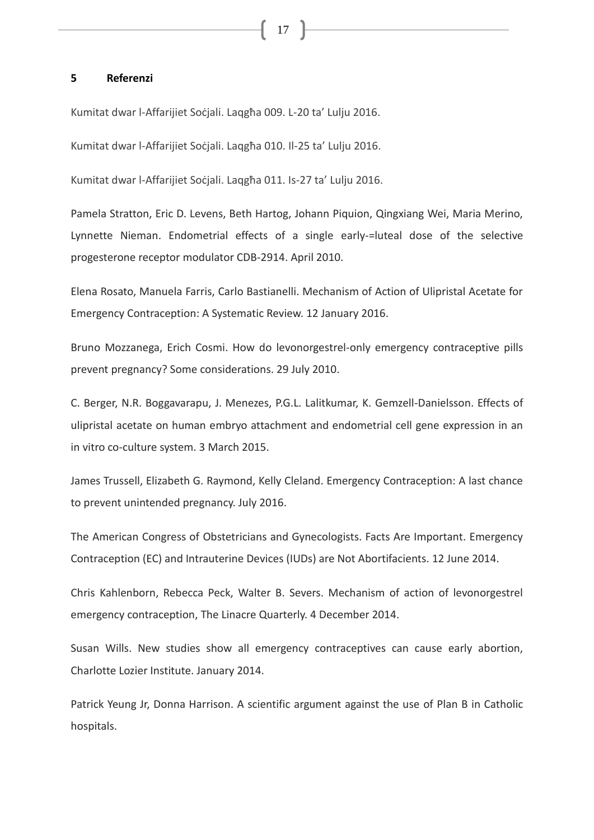#### <span id="page-16-0"></span>**5 Referenzi**

Kumitat dwar l-Affarijiet Soċjali. Laqgħa 009. L-20 ta' Lulju 2016.

Kumitat dwar l-Affarijiet Soċjali. Laqgħa 010. Il-25 ta' Lulju 2016.

Kumitat dwar l-Affarijiet Soċjali. Laqgħa 011. Is-27 ta' Lulju 2016.

Pamela Stratton, Eric D. Levens, Beth Hartog, Johann Piquion, Qingxiang Wei, Maria Merino, Lynnette Nieman. Endometrial effects of a single early-=luteal dose of the selective progesterone receptor modulator CDB-2914. April 2010.

Elena Rosato, Manuela Farris, Carlo Bastianelli. Mechanism of Action of Ulipristal Acetate for Emergency Contraception: A Systematic Review. 12 January 2016.

Bruno Mozzanega, Erich Cosmi. How do levonorgestrel-only emergency contraceptive pills prevent pregnancy? Some considerations. 29 July 2010.

C. Berger, N.R. Boggavarapu, J. Menezes, P.G.L. Lalitkumar, K. Gemzell-Danielsson. Effects of ulipristal acetate on human embryo attachment and endometrial cell gene expression in an in vitro co-culture system. 3 March 2015.

James Trussell, Elizabeth G. Raymond, Kelly Cleland. Emergency Contraception: A last chance to prevent unintended pregnancy. July 2016.

The American Congress of Obstetricians and Gynecologists. Facts Are Important. Emergency Contraception (EC) and Intrauterine Devices (IUDs) are Not Abortifacients. 12 June 2014.

Chris Kahlenborn, Rebecca Peck, Walter B. Severs. Mechanism of action of levonorgestrel emergency contraception, The Linacre Quarterly. 4 December 2014.

Susan Wills. New studies show all emergency contraceptives can cause early abortion, Charlotte Lozier Institute. January 2014.

Patrick Yeung Jr, Donna Harrison. A scientific argument against the use of Plan B in Catholic hospitals.